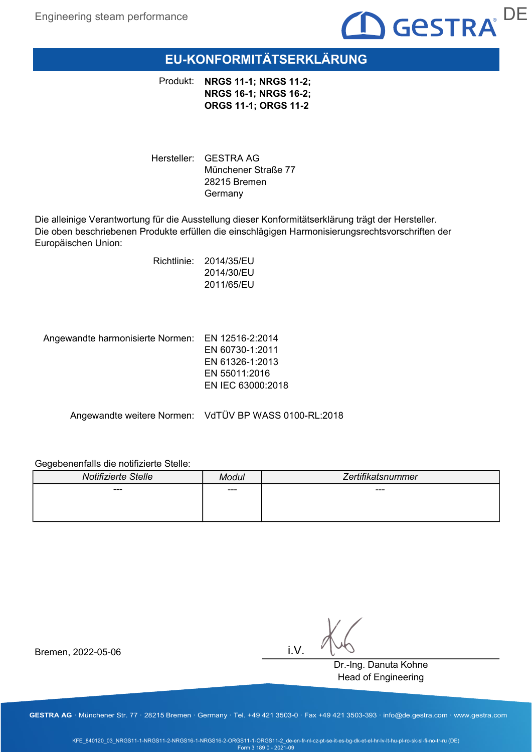

# EU-KONFORMITÄTSERKLÄRUNG

Produkt: NRGS 11-1; NRGS 11-2; NRGS 16-1; NRGS 16-2; ORGS 11-1; ORGS 11-2

Hersteller: GESTRA AG Münchener Straße 77 28215 Bremen Germany

Die alleinige Verantwortung für die Ausstellung dieser Konformitätserklärung trägt der Hersteller. Die oben beschriebenen Produkte erfüllen die einschlägigen Harmonisierungsrechtsvorschriften der Europäischen Union:

> Richtlinie: 2014/35/EU 2014/30/EU 2011/65/EU

Angewandte harmonisierte Normen: EN 12516-2:2014

EN 60730-1:2011 EN 61326-1:2013 EN 55011:2016 EN IEC 63000:2018

Angewandte weitere Normen: VdTÜV BP WASS 0100-RL:2018

### Gegebenenfalls die notifizierte Stelle:

| Notifizierte Stelle | Modul | Zertifikatsnummer |
|---------------------|-------|-------------------|
| $--$                | ---   | $---$             |
|                     |       |                   |
|                     |       |                   |

i.V.

Dr.-Ing. Danuta Kohne Head of Engineering

Bremen, 2022-05-06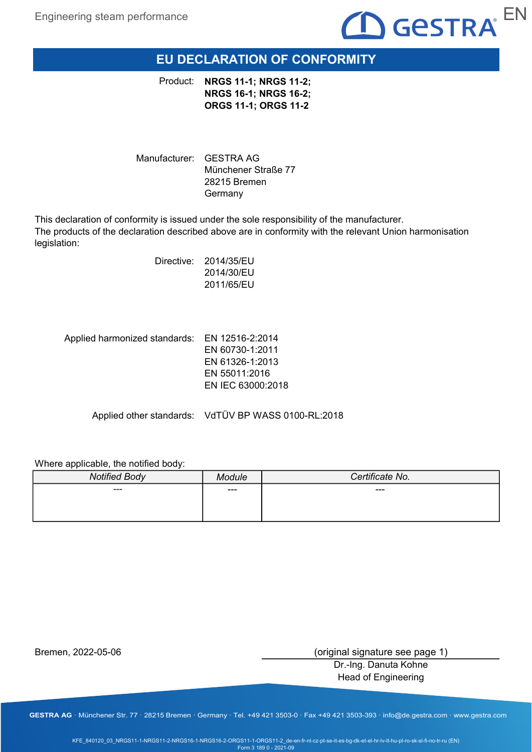

# EU DECLARATION OF CONFORMITY

Product: NRGS 11-1; NRGS 11-2; NRGS 16-1; NRGS 16-2; ORGS 11-1; ORGS 11-2

Manufacturer: GESTRA AG Münchener Straße 77 28215 Bremen Germany

This declaration of conformity is issued under the sole responsibility of the manufacturer. The products of the declaration described above are in conformity with the relevant Union harmonisation legislation:

> Directive: 2014/35/EU 2014/30/EU 2011/65/EU

Applied harmonized standards: EN 12516-2:2014 EN 60730-1:2011 EN 61326-1:2013 EN 55011:2016 EN IEC 63000:2018

Applied other standards: VdTÜV BP WASS 0100-RL:2018

Where applicable, the notified body:

| <b>Notified Body</b> | <b>ndule</b> | Certificate No. |
|----------------------|--------------|-----------------|
| ---                  | ---          | $---$           |
|                      |              |                 |
|                      |              |                 |

Bremen, 2022-05-06

(original signature see page 1)

Dr.-Ing. Danuta Kohne Head of Engineering

GESTRA AG · Münchener Str. 77 · 28215 Bremen · Germany · Tel. +49 421 3503-0 · Fax +49 421 3503-393 · info@de.gestra.com · www.gestra.com

KFE\_840120\_03\_NRGS11-1-NRGS11-2-NRGS16-1-NRGS16-2-ORGS11-1-ORGS11-2\_de-en-fr-nl-cz-pt-se-it-es-bg-dk-et-el-hr-lv-lt-hu-pl-ro-sk-sl-fi-no-tr-ru (EN) Form 3 189 0 - 2021-09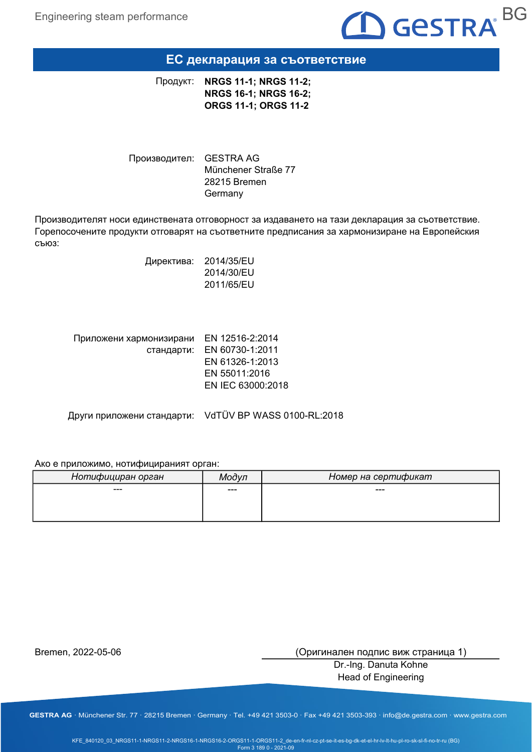

### ЕС декларация за съответствие

NRGS 11-1; NRGS 11-2; NRGS 16-1; NRGS 16-2; ORGS 11-1; ORGS 11-2 Продукт:

Производител: GESTRA AG Münchener Straße 77 28215 Bremen Germany

Производителят носи единствената отговорност за издаването на тази декларация за съответствие. Горепосочените продукти отговарят на съответните предписания за хармонизиране на Европейския съюз:

> Директива: 2014/35/EU 2014/30/EU 2011/65/EU

| Приложени хармонизирани | EN 12516-2:2014            |
|-------------------------|----------------------------|
|                         | стандарти: EN 60730-1:2011 |
|                         | EN 61326-1:2013            |
|                         | EN 55011:2016              |
|                         | EN IEC 63000:2018          |
|                         |                            |

Други приложени стандарти: VdTÜV BP WASS 0100-RL:2018

#### Ако е приложимо, нотифицираният орган:

| Нотифициран орган | Модvп | Номер на сертификат |
|-------------------|-------|---------------------|
| ---               | $--$  | ---                 |
|                   |       |                     |
|                   |       |                     |

Bremen, 2022-05-06

(Оригинален подпис виж страница 1)

Dr.-Ing. Danuta Kohne Head of Engineering

GESTRA AG · Münchener Str. 77 · 28215 Bremen · Germany · Tel. +49 421 3503-0 · Fax +49 421 3503-393 · info@de.gestra.com · www.gestra.com

KFE\_840120\_03\_NRGS11-1-NRGS11-2-NRGS16-1-NRGS16-2-ORGS11-1-ORGS11-2\_de-en-fr-nl-cz-pt-se-it-es-bg-dk-et-el-hr-lv-lt-hu-pl-ro-sk-sl-fi-no-tr-ru (BG) Form 3 189 0 - 2021-09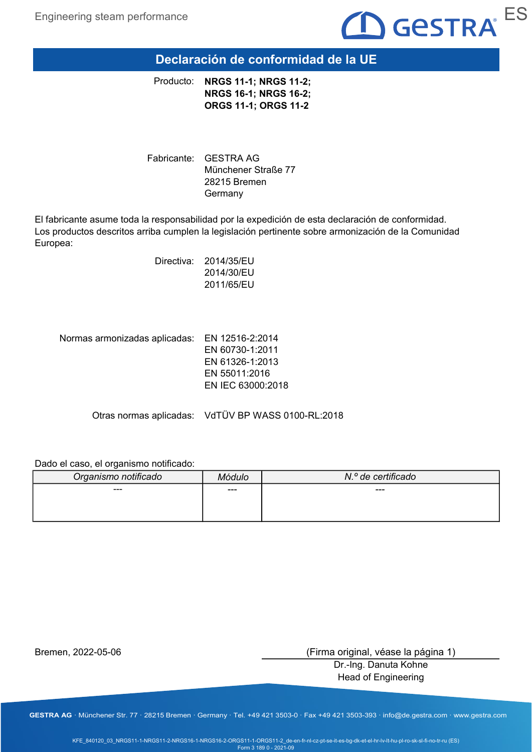

## Declaración de conformidad de la UE

NRGS 11-1; NRGS 11-2; NRGS 16-1; NRGS 16-2; ORGS 11-1; ORGS 11-2 Producto:

Fabricante: GESTRA AG Münchener Straße 77 28215 Bremen Germany

El fabricante asume toda la responsabilidad por la expedición de esta declaración de conformidad. Los productos descritos arriba cumplen la legislación pertinente sobre armonización de la Comunidad Europea:

> Directiva: 2014/35/EU 2014/30/EU 2011/65/EU

Normas armonizadas aplicadas: EN 12516-2:2014 EN 60730-1:2011 EN 61326-1:2013 EN 55011:2016 EN IEC 63000:2018

Otras normas aplicadas: VdTÜV BP WASS 0100-RL:2018

#### Dado el caso, el organismo notificado:

| Organismo notificado | Módulo | N.º de certificado |
|----------------------|--------|--------------------|
| ---                  | ---    | ---                |
|                      |        |                    |
|                      |        |                    |

Bremen, 2022-05-06

(Firma original, véase la página 1)

Dr.-Ing. Danuta Kohne Head of Engineering

GESTRA AG · Münchener Str. 77 · 28215 Bremen · Germany · Tel. +49 421 3503-0 · Fax +49 421 3503-393 · info@de.gestra.com · www.gestra.com

KFE\_840120\_03\_NRGS11-1-NRGS11-2-NRGS16-1-NRGS16-2-ORGS11-1-ORGS11-2\_de-en-fr-nl-cz-pt-se-it-es-bg-dk-et-el-hr-lv-lt-hu-pl-ro-sk-sl-fi-no-tr-ru (ES) Form 3 189 0 - 2021-09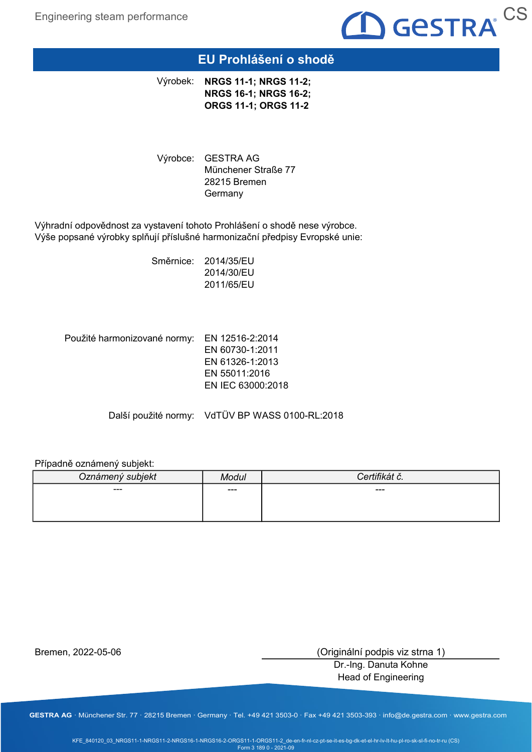

# EU Prohlášení o shodě

Výrobek: NRGS 11-1; NRGS 11-2; NRGS 16-1; NRGS 16-2; ORGS 11-1; ORGS 11-2

Výrobce: GESTRA AG Münchener Straße 77 28215 Bremen Germany

Výhradní odpovědnost za vystavení tohoto Prohlášení o shodě nese výrobce. Výše popsané výrobky splňují příslušné harmonizační předpisy Evropské unie:

> Směrnice: 2014/35/EU 2014/30/EU 2011/65/EU

Použité harmonizované normy: EN 12516-2:2014 EN 60730-1:2011 EN 61326-1:2013 EN 55011:2016 EN IEC 63000:2018

Další použité normy: VdTÜV BP WASS 0100-RL:2018

### Případně oznámený subjekt:

| Oznámený subjekt | Modul | tifil⁄át ă<br>.dl ∪. |
|------------------|-------|----------------------|
| ---              | $---$ | ---                  |
|                  |       |                      |
|                  |       |                      |

Bremen, 2022-05-06

(Originální podpis viz strna 1)

Dr.-Ing. Danuta Kohne Head of Engineering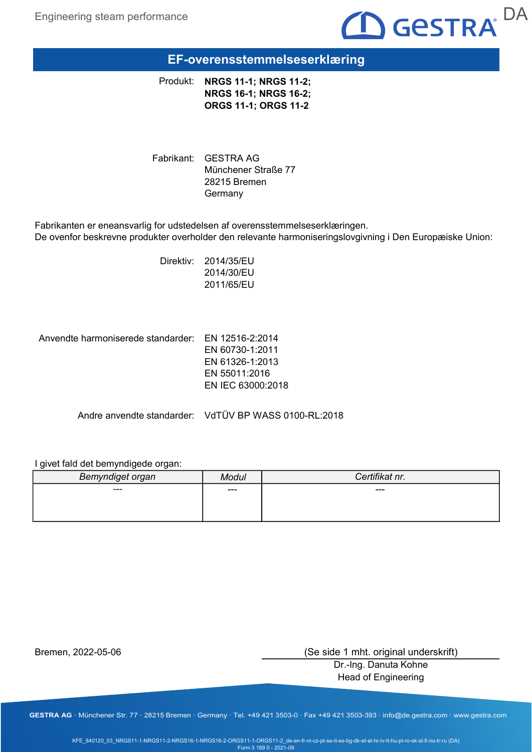

# EF-overensstemmelseserklæring

Produkt: NRGS 11-1; NRGS 11-2; NRGS 16-1; NRGS 16-2; ORGS 11-1; ORGS 11-2

Fabrikant: GESTRA AG Münchener Straße 77 28215 Bremen Germany

Fabrikanten er eneansvarlig for udstedelsen af overensstemmelseserklæringen. De ovenfor beskrevne produkter overholder den relevante harmoniseringslovgivning i Den Europæiske Union:

> Direktiv: 2014/35/EU 2014/30/EU 2011/65/EU

Anvendte harmoniserede standarder: EN 12516-2:2014

EN 60730-1:2011 EN 61326-1:2013 EN 55011:2016 EN IEC 63000:2018

Andre anvendte standarder: VdTÜV BP WASS 0100-RL:2018

### I givet fald det bemyndigede organ:

| Bemyndiget organ |     | Certifikat nr. |
|------------------|-----|----------------|
| ---              | --- | ---            |
|                  |     |                |
|                  |     |                |

Bremen, 2022-05-06

(Se side 1 mht. original underskrift)

Dr.-Ing. Danuta Kohne Head of Engineering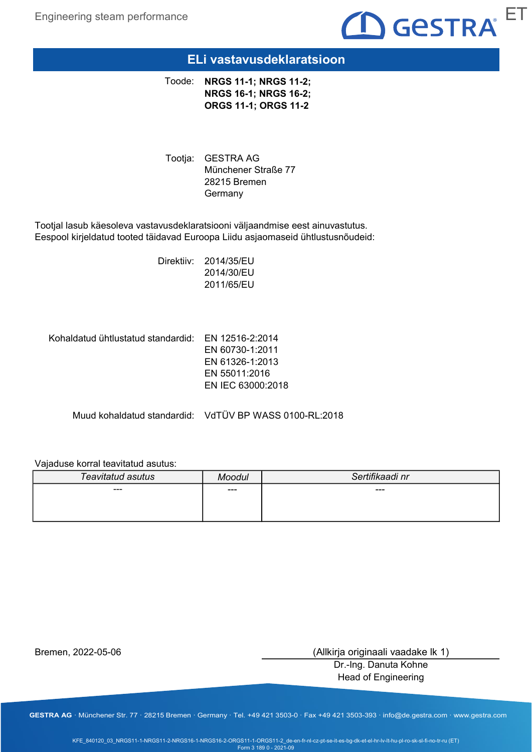

### ELi vastavusdeklaratsioon

Toode: NRGS 11-1; NRGS 11-2; NRGS 16-1; NRGS 16-2; ORGS 11-1; ORGS 11-2

Tootja: GESTRA AG Münchener Straße 77 28215 Bremen Germany

Tootjal lasub käesoleva vastavusdeklaratsiooni väljaandmise eest ainuvastutus. Eespool kirjeldatud tooted täidavad Euroopa Liidu asjaomaseid ühtlustusnõudeid:

> Direktiiv: 2014/35/EU 2014/30/EU 2011/65/EU

Kohaldatud ühtlustatud standardid: EN 12516-2:2014

EN 60730-1:2011 EN 61326-1:2013 EN 55011:2016 EN IEC 63000:2018

Muud kohaldatud standardid: VdTÜV BP WASS 0100-RL:2018

### Vajaduse korral teavitatud asutus:

| Teavitatud asutus | Moodul | Sertifikaadi nr |
|-------------------|--------|-----------------|
| $--$              | $--$   | ---             |
|                   |        |                 |
|                   |        |                 |

Bremen, 2022-05-06

(Allkirja originaali vaadake lk 1)

Dr.-Ing. Danuta Kohne Head of Engineering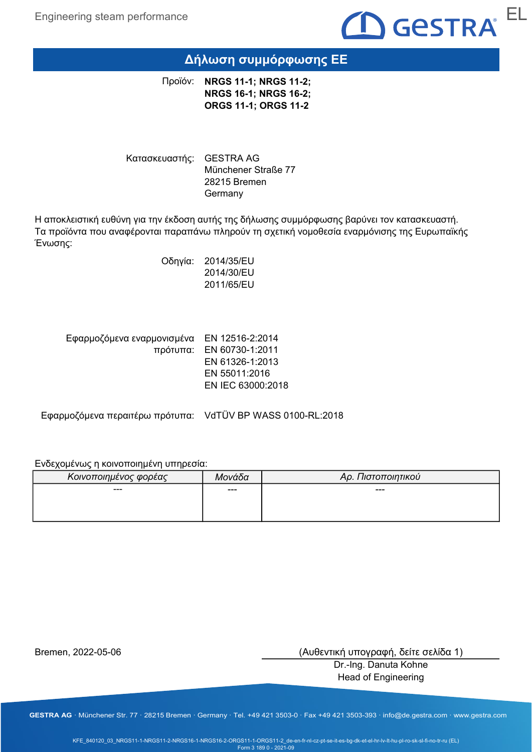

# Δήλωση συμμόρφωσης ΕΕ

Προϊόν: **NRGS 11-1; NRGS 11-2;** NRGS 16-1; NRGS 16-2; ORGS 11-1; ORGS 11-2

Κατασκευαστής: GESTRA AG Münchener Straße 77 28215 Bremen Germany

Η αποκλειστική ευθύνη για την έκδοση αυτής της δήλωσης συμμόρφωσης βαρύνει τον κατασκευαστή. Τα προϊόντα που αναφέρονται παραπάνω πληρούν τη σχετική νομοθεσία εναρμόνισης της Ευρωπαϊκής Ένωσης:

> Οδηγία: 2014/35/EU 2014/30/EU 2011/65/EU

| Εφαρμοζόμενα εναρμονισμένα ΕΝ 12516-2:2014 |
|--------------------------------------------|
| πρότυπα: EN 60730-1:2011                   |
| EN 61326-1:2013                            |
| EN 55011:2016                              |
| EN IEC 63000:2018                          |
|                                            |

Εφαρμοζόμενα περαιτέρω πρότυπα: VdTÜV BP WASS 0100-RL:2018

### Ενδεχομένως η κοινοποιημένη υπηρεσία:

| Κοινοποιημένος φορέας | Μονάδα | Αρ. Πιστοποιητικού |
|-----------------------|--------|--------------------|
| $- - -$               | ---    | $- - -$            |
|                       |        |                    |
|                       |        |                    |

Bremen, 2022-05-06

(Αυθεντική υπογραφή, δείτε σελίδα 1)

Dr.-Ing. Danuta Kohne Head of Engineering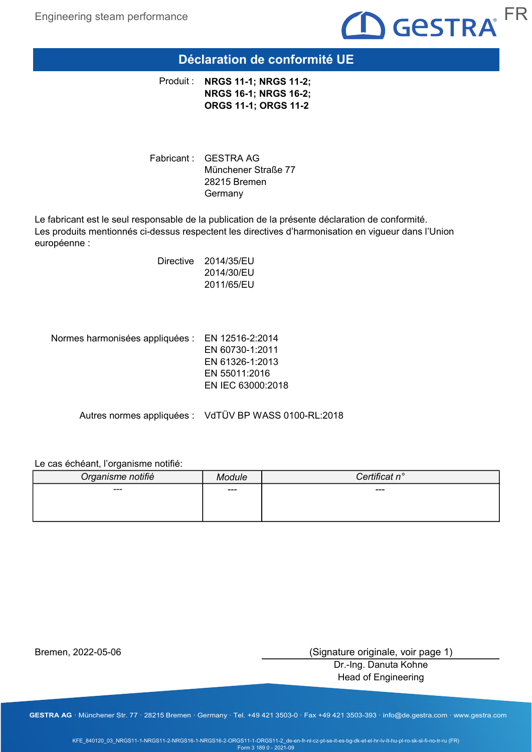

### Déclaration de conformité UE

Produit : NRGS 11-1; NRGS 11-2; NRGS 16-1; NRGS 16-2; ORGS 11-1; ORGS 11-2

Fabricant : GESTRA AG Münchener Straße 77 28215 Bremen Germany

Le fabricant est le seul responsable de la publication de la présente déclaration de conformité. Les produits mentionnés ci-dessus respectent les directives d'harmonisation en vigueur dans l'Union européenne :

> Directive 2014/35/EU 2014/30/EU 2011/65/EU

Normes harmonisées appliquées : EN 12516-2:2014 EN 60730-1:2011 EN 61326-1:2013 EN 55011:2016 EN IEC 63000:2018

Autres normes appliquées : VdTÜV BP WASS 0100-RL:2018

#### Le cas échéant, l'organisme notifié:

| Organisme notifié | $\neg$ dule | Certificat n° |
|-------------------|-------------|---------------|
| $--$              | $---$       | ---           |
|                   |             |               |
|                   |             |               |

Bremen, 2022-05-06

(Signature originale, voir page 1)

Dr.-Ing. Danuta Kohne Head of Engineering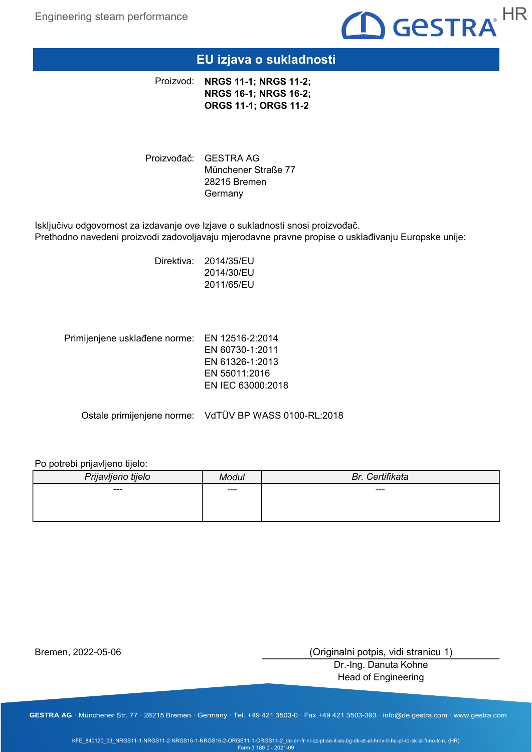

# EU izjava o sukladnosti

Proizvod: NRGS 11-1; NRGS 11-2; NRGS 16-1; NRGS 16-2; ORGS 11-1; ORGS 11-2

Proizvođač: GESTRA AG Münchener Straße 77 28215 Bremen Germany

Isključivu odgovornost za izdavanje ove Izjave o sukladnosti snosi proizvođač. Prethodno navedeni proizvodi zadovoljavaju mjerodavne pravne propise o usklađivanju Europske unije:

> Direktiva: 2014/35/EU 2014/30/EU 2011/65/EU

Primijenjene usklađene norme: EN 12516-2:2014 EN 60730-1:2011 EN 61326-1:2013 EN 55011:2016 EN IEC 63000:2018

Ostale primijenjene norme: VdTÜV BP WASS 0100-RL:2018

#### Po potrebi prijavljeno tijelo:

| Prijavljeno tijelo | Modul | Br. Certifikata |
|--------------------|-------|-----------------|
| ---                | $---$ | ---             |
|                    |       |                 |
|                    |       |                 |

Bremen, 2022-05-06

(Originalni potpis, vidi stranicu 1)

Dr.-Ing. Danuta Kohne Head of Engineering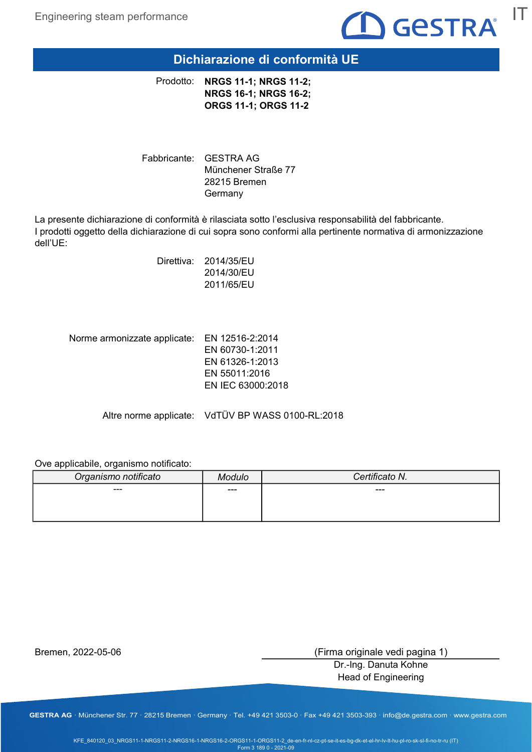

Dichiarazione di conformità UE

Prodotto: NRGS 11-1; NRGS 11-2; NRGS 16-1; NRGS 16-2; ORGS 11-1; ORGS 11-2

Fabbricante: GESTRA AG Münchener Straße 77 28215 Bremen Germany

La presente dichiarazione di conformità è rilasciata sotto l'esclusiva responsabilità del fabbricante. I prodotti oggetto della dichiarazione di cui sopra sono conformi alla pertinente normativa di armonizzazione dell'UE:

> Direttiva: 2014/35/EU 2014/30/EU 2011/65/EU

Norme armonizzate applicate: EN 12516-2:2014 EN 60730-1:2011 EN 61326-1:2013 EN 55011:2016 EN IEC 63000:2018

Altre norme applicate: VdTÜV BP WASS 0100-RL:2018

Ove applicabile, organismo notificato:

| Organismo notificato | Modulo | Certificato N. |
|----------------------|--------|----------------|
| ---                  | ---    | $---$          |
|                      |        |                |
|                      |        |                |

Bremen, 2022-05-06

(Firma originale vedi pagina 1)

Dr.-Ing. Danuta Kohne Head of Engineering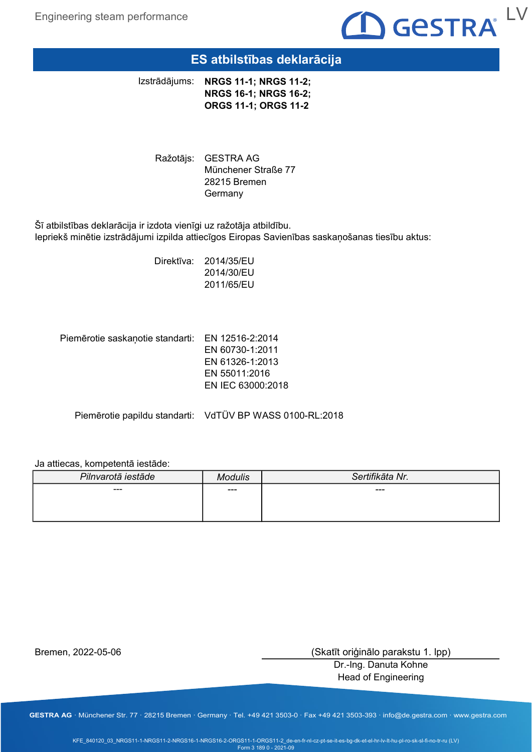Engineering steam performance



### ES atbilstības deklarācija

NRGS 11-1; NRGS 11-2; NRGS 16-1; NRGS 16-2; ORGS 11-1; ORGS 11-2 Izstrādājums:

Ražotājs: GESTRA AG Münchener Straße 77 28215 Bremen **Germany** 

Šī atbilstības deklarācija ir izdota vienīgi uz ražotāja atbildību. Iepriekš minētie izstrādājumi izpilda attiecīgos Eiropas Savienības saskaņošanas tiesību aktus:

> Direktīva: 2014/35/EU 2014/30/EU 2011/65/EU

Piemērotie saskaņotie standarti: EN 12516-2:2014 EN 60730-1:2011 EN 61326-1:2013 EN 55011:2016 EN IEC 63000:2018

Piemērotie papildu standarti: VdTÜV BP WASS 0100-RL:2018

#### Ja attiecas, kompetentā iestāde:

| Pilnvarotā iestāde | Modulic | Sertifikāta Nr. |
|--------------------|---------|-----------------|
| $--$               | $--$    | ---             |
|                    |         |                 |
|                    |         |                 |

Bremen, 2022-05-06

(Skatīt oriģinālo parakstu 1. lpp)

Dr.-Ing. Danuta Kohne Head of Engineering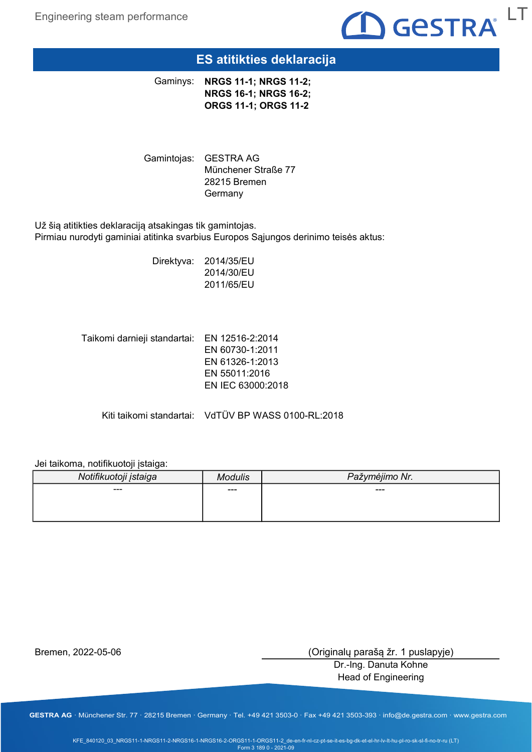

### ES atitikties deklaracija

Gaminys: NRGS 11-1; NRGS 11-2; NRGS 16-1; NRGS 16-2; ORGS 11-1; ORGS 11-2

Gamintojas: GESTRA AG Münchener Straße 77 28215 Bremen **Germany** 

Už šią atitikties deklaraciją atsakingas tik gamintojas. Pirmiau nurodyti gaminiai atitinka svarbius Europos Sąjungos derinimo teisės aktus:

> Direktyva: 2014/35/EU 2014/30/EU 2011/65/EU

Taikomi darnieji standartai: EN 12516-2:2014 EN 60730-1:2011 EN 61326-1:2013 EN 55011:2016 EN IEC 63000:2018

Kiti taikomi standartai: VdTÜV BP WASS 0100-RL:2018

Jei taikoma, notifikuotoji įstaiga:

| Notifikuotoji įstaiga | <b>Aodulis</b> | Pažymėjimo Nr. |
|-----------------------|----------------|----------------|
| ---                   | $--$           | ---            |
|                       |                |                |
|                       |                |                |

Bremen, 2022-05-06

(Originalų parašą žr. 1 puslapyje)

Dr.-Ing. Danuta Kohne Head of Engineering

GESTRA AG · Münchener Str. 77 · 28215 Bremen · Germany · Tel. +49 421 3503-0 · Fax +49 421 3503-393 · info@de.gestra.com · www.gestra.com

KFE\_840120\_03\_NRGS11-1-NRGS11-2-NRGS16-1-NRGS16-2-ORGS11-1-ORGS11-2\_de-en-fr-nl-cz-pt-se-it-es-bg-dk-et-el-hr-lv-lt-hu-pl-ro-sk-sl-fi-no-tr-ru (LT) Form 3 189 0 - 2021-09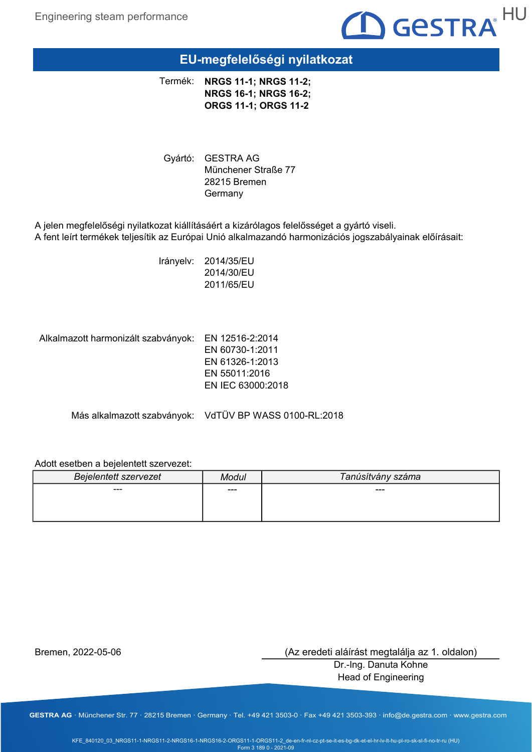

# EU-megfelelőségi nyilatkozat

NRGS 11-1; NRGS 11-2; NRGS 16-1; NRGS 16-2; ORGS 11-1; ORGS 11-2 Termék:

Gyártó: GESTRA AG Münchener Straße 77 28215 Bremen Germany

A jelen megfelelőségi nyilatkozat kiállításáért a kizárólagos felelősséget a gyártó viseli. A fent leírt termékek teljesítik az Európai Unió alkalmazandó harmonizációs jogszabályainak előírásait:

> Irányelv: 2014/35/EU 2014/30/EU 2011/65/EU

Alkalmazott harmonizált szabványok: EN 12516-2:2014 EN 60730-1:2011 EN 61326-1:2013 EN 55011:2016 EN IEC 63000:2018

Más alkalmazott szabványok: VdTÜV BP WASS 0100-RL:2018

### Adott esetben a bejelentett szervezet:

| <b>Bejelentett szervezet</b> | Modul | Tanúsítvány száma |
|------------------------------|-------|-------------------|
| ---                          | $--$  | ---               |
|                              |       |                   |
|                              |       |                   |

Bremen, 2022-05-06

(Az eredeti aláírást megtalálja az 1. oldalon)

Dr.-Ing. Danuta Kohne Head of Engineering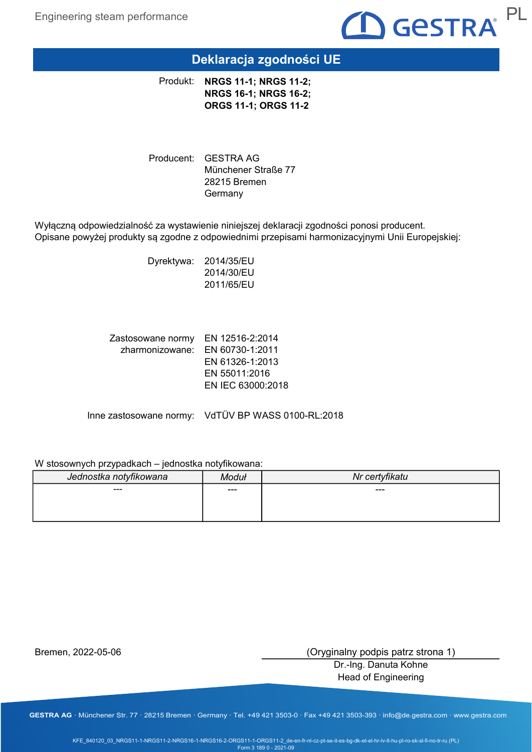

# Deklaracja zgodności UE

Produkt: NRGS 11-1; NRGS 11-2; NRGS 16-1; NRGS 16-2; ORGS 11-1; ORGS 11-2

Producent: GESTRA AG Münchener Straße 77 28215 Bremen Germany

Wyłączną odpowiedzialność za wystawienie niniejszej deklaracji zgodności ponosi producent. Opisane powyżej produkty są zgodne z odpowiednimi przepisami harmonizacyjnymi Unii Europejskiej:

> Dyrektywa: 2014/35/EU 2014/30/EU 2011/65/EU

Zastosowane normy EN 12516-2:2014 zharmonizowane: EN 60730-1:2011 EN 61326-1:2013 EN 55011:2016 EN IEC 63000:2018

Inne zastosowane normy: VdTÜV BP WASS 0100-RL:2018

#### W stosownych przypadkach – jednostka notyfikowana:

| Jednostka notyfikowana | <b>Moduł</b> | Nr certyfikatu |
|------------------------|--------------|----------------|
| $---$                  | $--$         | ---            |
|                        |              |                |
|                        |              |                |

Bremen, 2022-05-06

(Oryginalny podpis patrz strona 1)

Dr.-Ing. Danuta Kohne Head of Engineering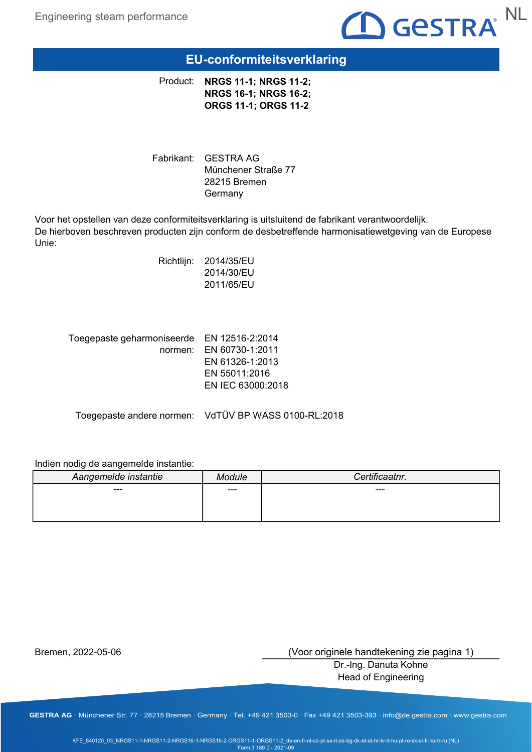

# EU-conformiteitsverklaring

Product: NRGS 11-1; NRGS 11-2; NRGS 16-1; NRGS 16-2; ORGS 11-1; ORGS 11-2

Fabrikant: GESTRA AG Münchener Straße 77 28215 Bremen Germany

Voor het opstellen van deze conformiteitsverklaring is uitsluitend de fabrikant verantwoordelijk. De hierboven beschreven producten zijn conform de desbetreffende harmonisatiewetgeving van de Europese Unie:

> Richtlijn: 2014/35/EU 2014/30/EU 2011/65/EU

| Toegepaste geharmoniseerde EN 12516-2:2014 |                         |
|--------------------------------------------|-------------------------|
|                                            | normen: EN 60730-1:2011 |
|                                            | EN 61326-1:2013         |
|                                            | EN 55011:2016           |
|                                            | EN IEC 63000:2018       |
|                                            |                         |

Toegepaste andere normen: VdTÜV BP WASS 0100-RL:2018

### Indien nodig de aangemelde instantie:

| Aangemelde instantie | <i><b>lodule</b></i> | Certificaatnr. |
|----------------------|----------------------|----------------|
| ---                  | $--$                 | ---            |
|                      |                      |                |
|                      |                      |                |

Bremen, 2022-05-06

(Voor originele handtekening zie pagina 1)

Dr.-Ing. Danuta Kohne Head of Engineering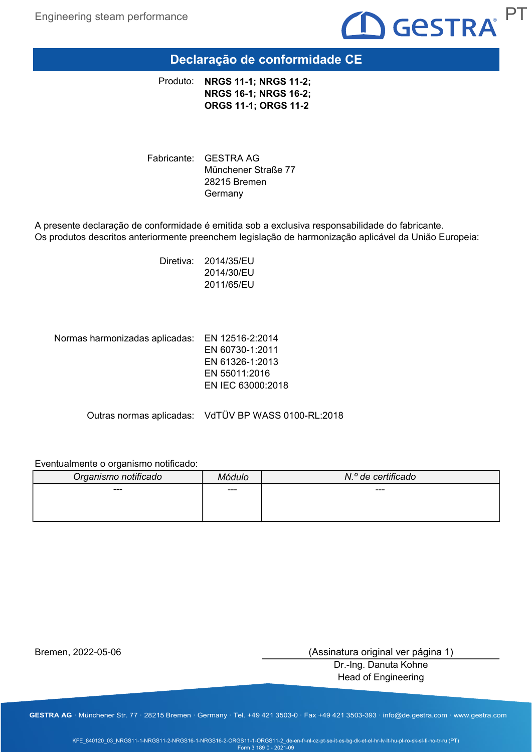

# Declaração de conformidade CE

NRGS 11-1; NRGS 11-2; NRGS 16-1; NRGS 16-2; ORGS 11-1; ORGS 11-2 Produto:

Fabricante: GESTRA AG Münchener Straße 77 28215 Bremen Germany

A presente declaração de conformidade é emitida sob a exclusiva responsabilidade do fabricante. Os produtos descritos anteriormente preenchem legislação de harmonização aplicável da União Europeia:

> Diretiva: 2014/35/EU 2014/30/EU 2011/65/EU

Normas harmonizadas aplicadas: EN 12516-2:2014 EN 60730-1:2011 EN 61326-1:2013 EN 55011:2016 EN IEC 63000:2018

Outras normas aplicadas: VdTÜV BP WASS 0100-RL:2018

### Eventualmente o organismo notificado:

| Organismo notificado | <i>Aódulo</i> | N.º de certificado |
|----------------------|---------------|--------------------|
| ---                  | $--$          | ---                |
|                      |               |                    |
|                      |               |                    |

Bremen, 2022-05-06

(Assinatura original ver página 1)

Dr.-Ing. Danuta Kohne Head of Engineering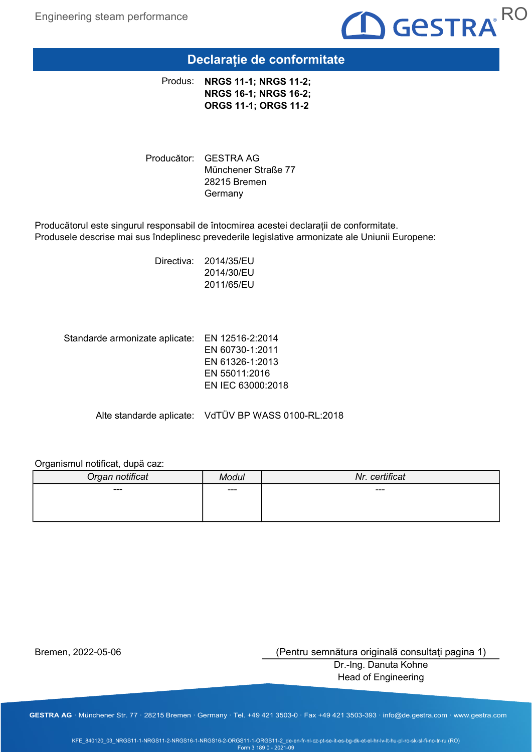

# Declarație de conformitate

Produs: NRGS 11-1; NRGS 11-2; NRGS 16-1; NRGS 16-2; ORGS 11-1; ORGS 11-2

Producător: GESTRA AG Münchener Straße 77 28215 Bremen Germany

Producătorul este singurul responsabil de întocmirea acestei declarații de conformitate. Produsele descrise mai sus îndeplinesc prevederile legislative armonizate ale Uniunii Europene:

> Directiva: 2014/35/EU 2014/30/EU 2011/65/EU

Standarde armonizate aplicate: EN 12516-2:2014 EN 60730-1:2011 EN 61326-1:2013 EN 55011:2016 EN IEC 63000:2018

Alte standarde aplicate: VdTÜV BP WASS 0100-RL:2018

### Organismul notificat, după caz:

| Organ notificat | Modul | Nr. certificat |
|-----------------|-------|----------------|
| $---$           | $---$ | $---$          |
|                 |       |                |
|                 |       |                |

Bremen, 2022-05-06

(Pentru semnătura originală consultaţi pagina 1)

Dr.-Ing. Danuta Kohne Head of Engineering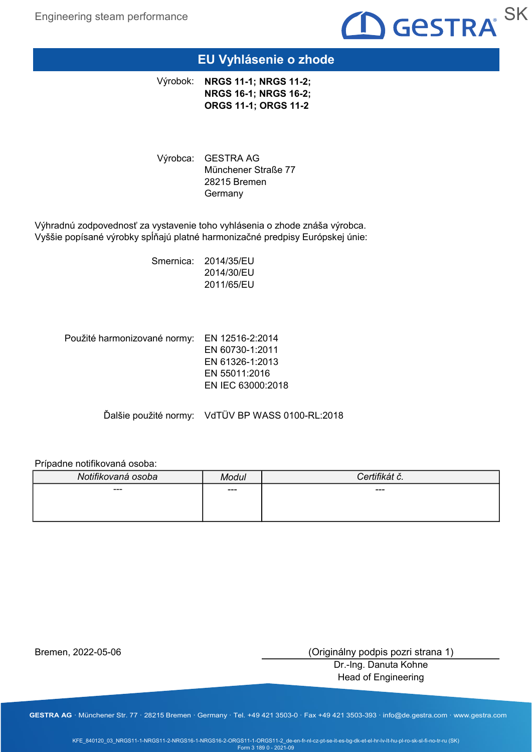

### EU Vyhlásenie o zhode

Výrobok: NRGS 11-1; NRGS 11-2; NRGS 16-1; NRGS 16-2; ORGS 11-1; ORGS 11-2

Výrobca: GESTRA AG Münchener Straße 77 28215 Bremen Germany

Výhradnú zodpovednosť za vystavenie toho vyhlásenia o zhode znáša výrobca. Vyššie popísané výrobky spĺňajú platné harmonizačné predpisy Európskej únie:

> Smernica: 2014/35/EU 2014/30/EU 2011/65/EU

Použité harmonizované normy: EN 12516-2:2014 EN 60730-1:2011 EN 61326-1:2013 EN 55011:2016 EN IEC 63000:2018

Ďalšie použité normy: VdTÜV BP WASS 0100-RL:2018

#### Prípadne notifikovaná osoba:

| Modul | Certifikát č. |
|-------|---------------|
| $--$  | ---           |
|       |               |
|       |               |

Bremen, 2022-05-06

(Originálny podpis pozri strana 1)

Dr.-Ing. Danuta Kohne Head of Engineering

GESTRA AG · Münchener Str. 77 · 28215 Bremen · Germany · Tel. +49 421 3503-0 · Fax +49 421 3503-393 · info@de.gestra.com · www.gestra.com

KFE\_840120\_03\_NRGS11-1-NRGS11-2-NRGS16-1-NRGS16-2-ORGS11-1-ORGS11-2\_de-en-fr-nl-cz-pt-se-it-es-bg-dk-et-el-hr-lv-lt-hu-pl-ro-sk-sl-fi-no-tr-ru (SK) Form 3 189 0 - 2021-09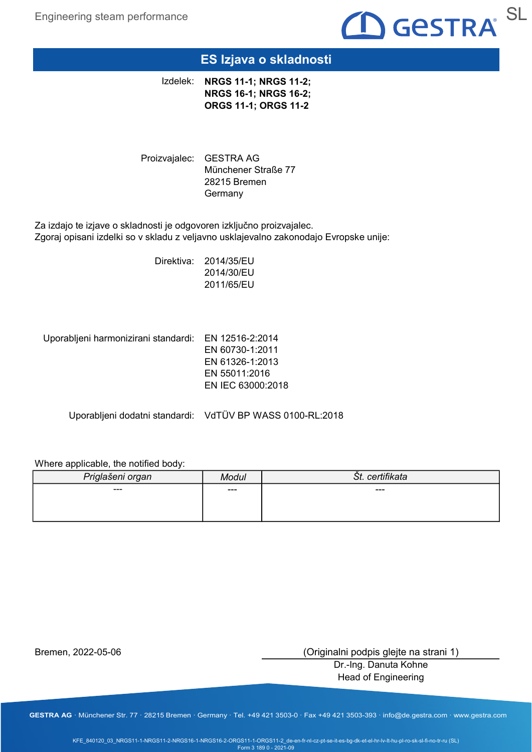

## ES Izjava o skladnosti

Izdelek: NRGS 11-1; NRGS 11-2; NRGS 16-1; NRGS 16-2; ORGS 11-1; ORGS 11-2

Proizvajalec: GESTRA AG Münchener Straße 77 28215 Bremen Germany

Za izdajo te izjave o skladnosti je odgovoren izključno proizvajalec. Zgoraj opisani izdelki so v skladu z veljavno usklajevalno zakonodajo Evropske unije:

> Direktiva: 2014/35/EU 2014/30/EU 2011/65/EU

Uporabljeni harmonizirani standardi: EN 12516-2:2014

EN 60730-1:2011 EN 61326-1:2013 EN 55011:2016 EN IEC 63000:2018

Uporabljeni dodatni standardi: VdTÜV BP WASS 0100-RL:2018

### Where applicable, the notified body:

| Priglašeni organ | Modul | Št. certifikata |
|------------------|-------|-----------------|
| ---              | $---$ | ---             |
|                  |       |                 |
|                  |       |                 |

Bremen, 2022-05-06

(Originalni podpis glejte na strani 1)

Dr.-Ing. Danuta Kohne Head of Engineering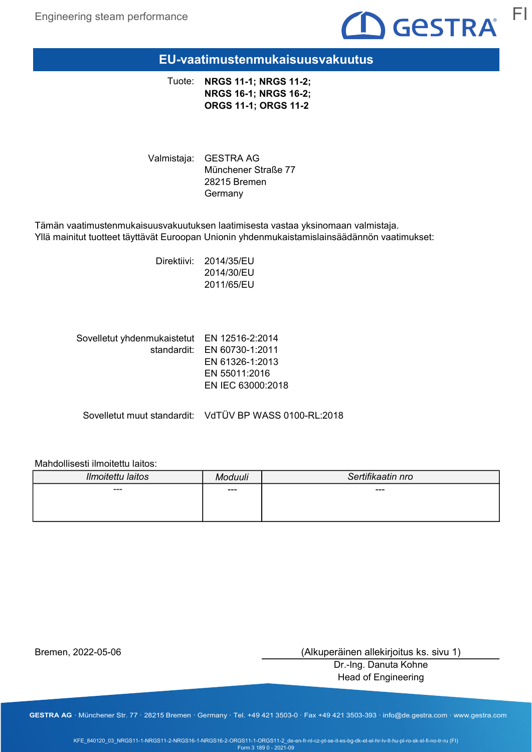

### EU-vaatimustenmukaisuusvakuutus

Tuote: NRGS 11-1; NRGS 11-2; NRGS 16-1; NRGS 16-2; ORGS 11-1; ORGS 11-2

Valmistaja: GESTRA AG Münchener Straße 77 28215 Bremen Germany

Tämän vaatimustenmukaisuusvakuutuksen laatimisesta vastaa yksinomaan valmistaja. Yllä mainitut tuotteet täyttävät Euroopan Unionin yhdenmukaistamislainsäädännön vaatimukset:

> Direktiivi: 2014/35/EU 2014/30/EU 2011/65/EU

| Sovelletut yhdenmukaistetut EN 12516-2:2014 |                             |
|---------------------------------------------|-----------------------------|
|                                             | standardit: EN 60730-1:2011 |
|                                             | EN 61326-1:2013             |
|                                             | EN 55011:2016               |
|                                             | EN IEC 63000:2018           |
|                                             |                             |

Sovelletut muut standardit: VdTÜV BP WASS 0100-RL:2018

### Mahdollisesti ilmoitettu laitos:

| Ilmoitettu laitos | oduuli | Sertifikaatin nro |
|-------------------|--------|-------------------|
| ---               | ---    | ---               |
|                   |        |                   |
|                   |        |                   |

Bremen, 2022-05-06

(Alkuperäinen allekirjoitus ks. sivu 1)

Dr.-Ing. Danuta Kohne Head of Engineering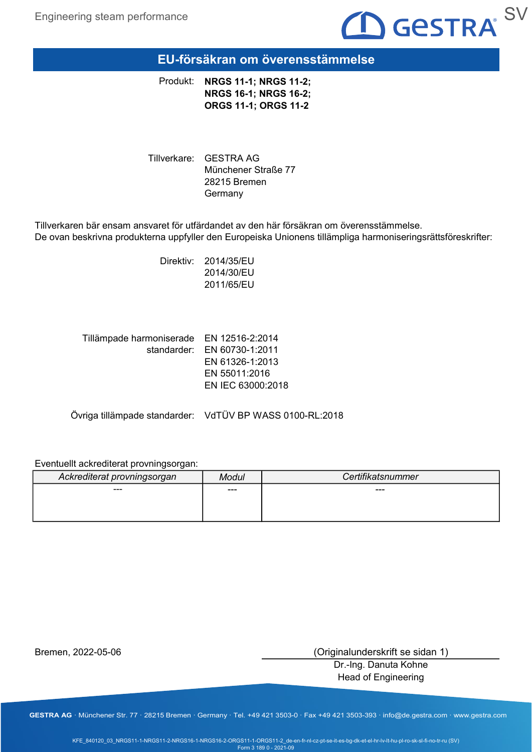

EU-försäkran om överensstämmelse

Produkt: NRGS 11-1; NRGS 11-2; NRGS 16-1; NRGS 16-2; ORGS 11-1; ORGS 11-2

Tillverkare: GESTRA AG Münchener Straße 77 28215 Bremen Germany

Tillverkaren bär ensam ansvaret för utfärdandet av den här försäkran om överensstämmelse. De ovan beskrivna produkterna uppfyller den Europeiska Unionens tillämpliga harmoniseringsrättsföreskrifter:

> Direktiv: 2014/35/EU 2014/30/EU 2011/65/EU

| Tillämpade harmoniserade EN 12516-2:2014 |                             |
|------------------------------------------|-----------------------------|
|                                          | standarder: EN 60730-1:2011 |
|                                          | EN 61326-1:2013             |
|                                          | EN 55011:2016               |
|                                          | EN IEC 63000:2018           |
|                                          |                             |

Övriga tillämpade standarder: VdTÜV BP WASS 0100-RL:2018

### Eventuellt ackrediterat provningsorgan:

| Ackrediterat provningsorgan | Modul | Certifikatsnummer |
|-----------------------------|-------|-------------------|
| ---                         | ---   | ---               |
|                             |       |                   |
|                             |       |                   |

Bremen, 2022-05-06

(Originalunderskrift se sidan 1)

Dr.-Ing. Danuta Kohne Head of Engineering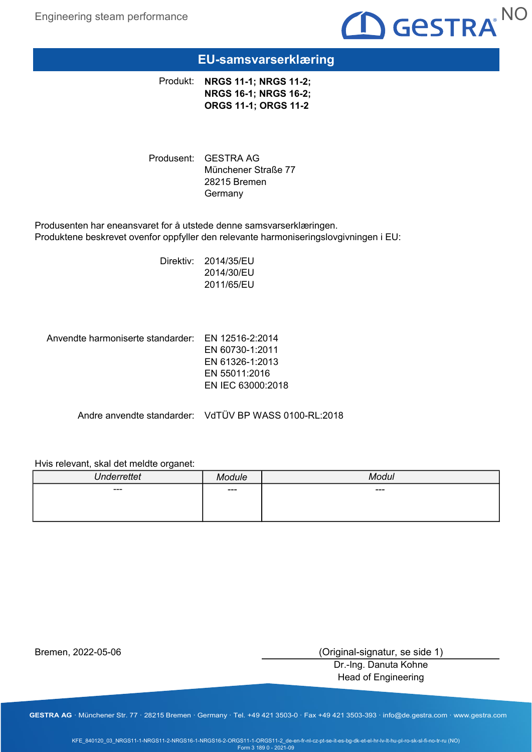

# EU-samsvarserklæring

Produkt: NRGS 11-1; NRGS 11-2; NRGS 16-1; NRGS 16-2; ORGS 11-1; ORGS 11-2

Produsent: GESTRA AG Münchener Straße 77 28215 Bremen Germany

Produsenten har eneansvaret for å utstede denne samsvarserklæringen. Produktene beskrevet ovenfor oppfyller den relevante harmoniseringslovgivningen i EU:

> Direktiv: 2014/35/EU 2014/30/EU 2011/65/EU

Anvendte harmoniserte standarder: EN 12516-2:2014 EN 60730-1:2011 EN 61326-1:2013 EN 55011:2016 EN IEC 63000:2018

Andre anvendte standarder: VdTÜV BP WASS 0100-RL:2018

#### Hvis relevant, skal det meldte organet:

| <b>Underrettet</b> | مانتامہ<br>11 L | $M$ ndul<br>uı |
|--------------------|-----------------|----------------|
| $\sim$ $\sim$      | $---$           | ---            |
|                    |                 |                |
|                    |                 |                |

Bremen, 2022-05-06

(Original-signatur, se side 1)

Dr.-Ing. Danuta Kohne Head of Engineering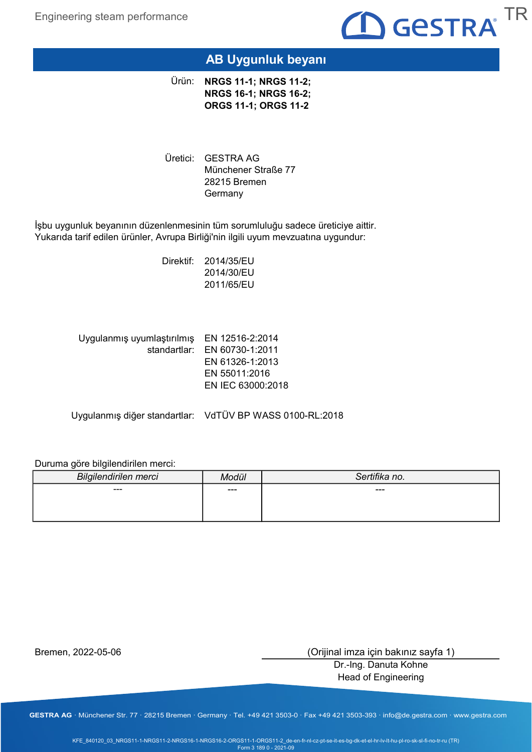

# AB Uygunluk beyanı

Ürün: **NRGS 11-1; NRGS 11-2;** NRGS 16-1; NRGS 16-2; ORGS 11-1; ORGS 11-2

Üretici: GESTRA AG Münchener Straße 77 28215 Bremen Germany

İşbu uygunluk beyanının düzenlenmesinin tüm sorumluluğu sadece üreticiye aittir. Yukarıda tarif edilen ürünler, Avrupa Birliği'nin ilgili uyum mevzuatına uygundur:

> Direktif: 2014/35/EU 2014/30/EU 2011/65/EU

| Uygulanmış uyumlaştırılmış EN 12516-2:2014 |                              |
|--------------------------------------------|------------------------------|
|                                            | standartlar: EN 60730-1:2011 |
|                                            | EN 61326-1:2013              |
|                                            | EN 55011:2016                |
|                                            | EN IEC 63000:2018            |
|                                            |                              |

Uygulanmış diğer standartlar: VdTÜV BP WASS 0100-RL:2018

Duruma göre bilgilendirilen merci:

| <b>Bilgilendirilen merci</b> | Modül | Sertifika no. |
|------------------------------|-------|---------------|
| ---                          | ---   | ---           |
|                              |       |               |
|                              |       |               |

Bremen, 2022-05-06

(Orijinal imza için bakınız sayfa 1)

Dr.-Ing. Danuta Kohne Head of Engineering

GESTRA AG · Münchener Str. 77 · 28215 Bremen · Germany · Tel. +49 421 3503-0 · Fax +49 421 3503-393 · info@de.gestra.com · www.gestra.com

KFE\_840120\_03\_NRGS11-1-NRGS11-2-NRGS16-1-NRGS16-2-ORGS11-1-ORGS11-2\_de-en-fr-nl-cz-pt-se-it-es-bg-dk-et-el-hr-lv-lt-hu-pl-ro-sk-sl-fi-no-tr-ru (TR) Form 3 189 0 - 2021-09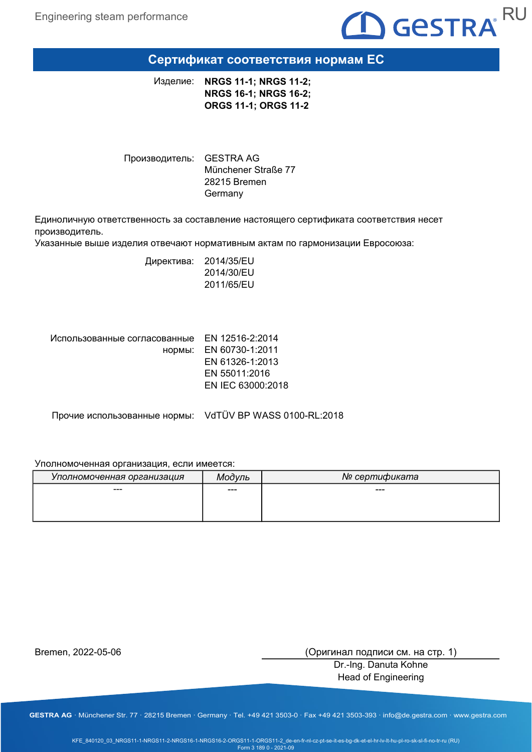

### Сертификат соответствия нормам ЕС

Изделие: NRGS 11-1; NRGS 11-2; NRGS 16-1; NRGS 16-2; ORGS 11-1; ORGS 11-2

Производитель: GESTRA AG Münchener Straße 77 28215 Bremen Germany

Единоличную ответственность за составление настоящего сертификата соответствия несет производитель.

Указанные выше изделия отвечают нормативным актам по гармонизации Евросоюза:

Директива: 2014/35/EU 2014/30/EU 2011/65/EU

| Использованные согласованные EN 12516-2:2014 |                        |
|----------------------------------------------|------------------------|
|                                              | нормы: EN 60730-1:2011 |
|                                              | EN 61326-1:2013        |
|                                              | EN 55011:2016          |
|                                              | EN IEC 63000:2018      |
|                                              |                        |

Прочие использованные нормы: VdTÜV BP WASS 0100-RL:2018

#### Уполномоченная организация, если имеется:

| Уполномоченная организация | Модуль | № сертификата |
|----------------------------|--------|---------------|
| ---                        | $--$   | ---           |
|                            |        |               |
|                            |        |               |

Bremen, 2022-05-06

(Оригинал подписи см. на стр. 1)

Dr.-Ing. Danuta Kohne Head of Engineering